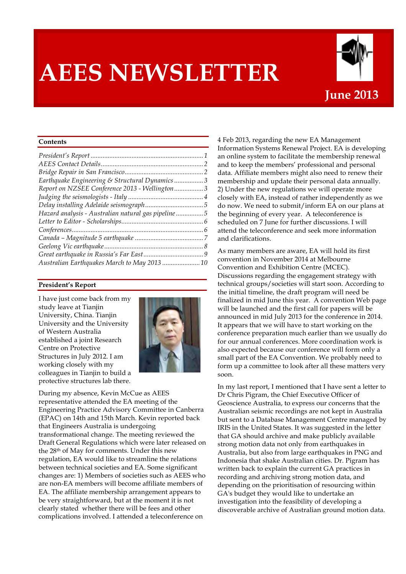# **AEES NEWSLETTER June 2013**



#### **Contents**

| Earthquake Engineering & Structural Dynamics3       |  |
|-----------------------------------------------------|--|
| Report on NZSEE Conference 2013 - Wellington 3      |  |
|                                                     |  |
|                                                     |  |
| Hazard analysis - Australian natural gas pipeline 5 |  |
|                                                     |  |
|                                                     |  |
|                                                     |  |
|                                                     |  |
|                                                     |  |
|                                                     |  |

#### **President's Report**

I have just come back from my study leave at Tianjin University, China. Tianjin University and the University of Western Australia established a joint Research Centre on Protective Structures in July 2012. I am working closely with my colleagues in Tianjin to build a protective structures lab there.



During my absence, Kevin McCue as AEES representative attended the EA meeting of the Engineering Practice Advisory Committee in Canberra (EPAC) on 14th and 15th March. Kevin reported back that Engineers Australia is undergoing transformational change. The meeting reviewed the Draft General Regulations which were later released on the 28th of May for comments. Under this new regulation, EA would like to streamline the relations between technical societies and EA. Some significant changes are: 1) Members of societies such as AEES who are non-EA members will become affiliate members of EA. The affiliate membership arrangement appears to be very straightforward, but at the moment it is not clearly stated whether there will be fees and other complications involved. I attended a teleconference on

4 Feb 2013, regarding the new EA Management Information Systems Renewal Project. EA is developing an online system to facilitate the membership renewal and to keep the members' professional and personal data. Affiliate members might also need to renew their membership and update their personal data annually. 2) Under the new regulations we will operate more closely with EA, instead of rather independently as we do now. We need to submit/inform EA on our plans at the beginning of every year. A teleconference is scheduled on 7 June for further discussions. I will attend the teleconference and seek more information and clarifications.

As many members are aware, EA will hold its first convention in November 2014 at Melbourne Convention and Exhibition Centre (MCEC). Discussions regarding the engagement strategy with technical groups/societies will start soon. According to the initial timeline, the draft program will need be finalized in mid June this year. A convention Web page will be launched and the first call for papers will be announced in mid July 2013 for the conference in 2014. It appears that we will have to start working on the conference preparation much earlier than we usually do for our annual conferences. More coordination work is also expected because our conference will form only a small part of the EA Convention. We probably need to form up a committee to look after all these matters very soon.

In my last report, I mentioned that I have sent a letter to Dr Chris Pigram, the Chief Executive Officer of Geoscience Australia, to express our concerns that the Australian seismic recordings are not kept in Australia but sent to a Database Management Centre managed by IRIS in the United States. It was suggested in the letter that GA should archive and make publicly available strong motion data not only from earthquakes in Australia, but also from large earthquakes in PNG and Indonesia that shake Australian cities. Dr. Pigram has written back to explain the current GA practices in recording and archiving strong motion data, and depending on the prioritisation of resourcing within GA's budget they would like to undertake an investigation into the feasibility of developing a discoverable archive of Australian ground motion data.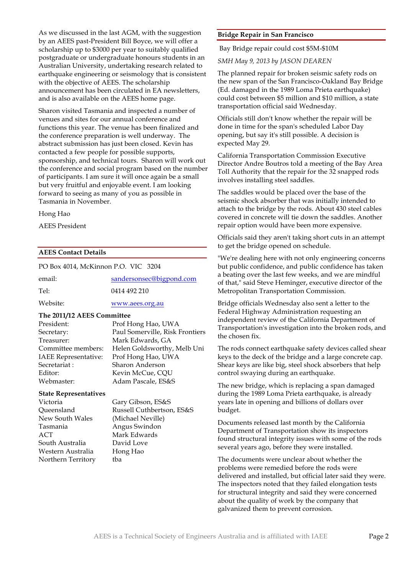As we discussed in the last AGM, with the suggestion by an AEES past-President Bill Boyce, we will offer a scholarship up to \$3000 per year to suitably qualified postgraduate or undergraduate honours students in an Australian University, undertaking research related to earthquake engineering or seismology that is consistent with the objective of AEES. The scholarship announcement has been circulated in EA newsletters, and is also available on the AEES home page.

Sharon visited Tasmania and inspected a number of venues and sites for our annual conference and functions this year. The venue has been finalized and the conference preparation is well underway. The abstract submission has just been closed. Kevin has contacted a few people for possible supports, sponsorship, and technical tours. Sharon will work out the conference and social program based on the number of participants. I am sure it will once again be a small but very fruitful and enjoyable event. I am looking forward to seeing as many of you as possible in Tasmania in November.

Hong Hao

AEES President

#### **AEES Contact Details**

PO Box 4014, McKinnon P.O. VIC 3204

email: sandersonsec@bigpond.com Tel: 0414 492 210

Website: www.aees.org.au

#### **The 2011/12 AEES Committee**

| President:                  | Prof Hong Hao, UWA              |
|-----------------------------|---------------------------------|
| Secretary:                  | Paul Somerville, Risk Frontiers |
| Treasurer:                  | Mark Edwards, GA                |
| Committee members:          | Helen Goldsworthy, Melb Uni     |
| <b>IAEE</b> Representative: | Prof Hong Hao, UWA              |
| Secretariat:                | Sharon Anderson                 |
| Editor:                     | Kevin McCue, CQU                |
| Webmaster:                  | Adam Pascale, ES&S              |

#### **State Representatives**

Victoria Gary Gibson, ES&S New South Wales (Michael Neville) Tasmania Angus Swindon ACT Mark Edwards South Australia David Love Western Australia Hong Hao Northern Territory tba

Queensland Russell Cuthbertson, ES&S

#### **Bridge Repair in San Francisco**

Bay Bridge repair could cost \$5M-\$10M

*SMH May 9, 2013 by JASON DEAREN*

The planned repair for broken seismic safety rods on the new span of the San Francisco-Oakland Bay Bridge (Ed. damaged in the 1989 Loma Prieta earthquake) could cost between \$5 million and \$10 million, a state transportation official said Wednesday.

Officials still don't know whether the repair will be done in time for the span's scheduled Labor Day opening, but say it's still possible. A decision is expected May 29.

California Transportation Commission Executive Director Andre Boutros told a meeting of the Bay Area Toll Authority that the repair for the 32 snapped rods involves installing steel saddles.

The saddles would be placed over the base of the seismic shock absorber that was initially intended to attach to the bridge by the rods. About 430 steel cables covered in concrete will tie down the saddles. Another repair option would have been more expensive.

Officials said they aren't taking short cuts in an attempt to get the bridge opened on schedule.

"We're dealing here with not only engineering concerns but public confidence, and public confidence has taken a beating over the last few weeks, and we are mindful of that," said Steve Heminger, executive director of the Metropolitan Transportation Commission.

Bridge officials Wednesday also sent a letter to the Federal Highway Administration requesting an independent review of the California Department of Transportation's investigation into the broken rods, and the chosen fix.

The rods connect earthquake safety devices called shear keys to the deck of the bridge and a large concrete cap. Shear keys are like big, steel shock absorbers that help control swaying during an earthquake.

The new bridge, which is replacing a span damaged during the 1989 Loma Prieta earthquake, is already years late in opening and billions of dollars over budget.

Documents released last month by the California Department of Transportation show its inspectors found structural integrity issues with some of the rods several years ago, before they were installed.

The documents were unclear about whether the problems were remedied before the rods were delivered and installed, but official later said they were. The inspectors noted that they failed elongation tests for structural integrity and said they were concerned about the quality of work by the company that galvanized them to prevent corrosion.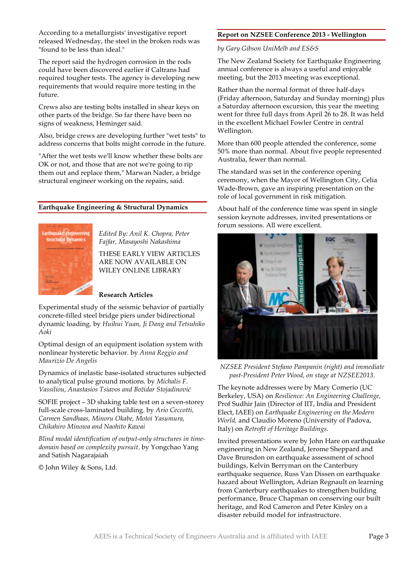According to a metallurgists' investigative report released Wednesday, the steel in the broken rods was "found to be less than ideal."

The report said the hydrogen corrosion in the rods could have been discovered earlier if Caltrans had required tougher tests. The agency is developing new requirements that would require more testing in the future.

Crews also are testing bolts installed in shear keys on other parts of the bridge. So far there have been no signs of weakness, Heminger said.

Also, bridge crews are developing further "wet tests" to address concerns that bolts might corrode in the future.

"After the wet tests we'll know whether these bolts are OK or not, and those that are not we're going to rip them out and replace them," Marwan Nader, a bridge structural engineer working on the repairs, said.

#### **Earthquake Engineering & Structural Dynamics**



*Edited By: Anil K. Chopra, Peter Fajfar, Masayoshi Nakashima*

THESE EARLY VIEW ARTICLES ARE NOW AVAILABLE ON WILEY ONLINE LIBRARY

#### **Research Articles**

Experimental study of the seismic behavior of partially concrete-filled steel bridge piers under bidirectional dynamic loading. by *Huihui Yuan, Ji Dang and Tetsuhiko Aoki*

Optimal design of an equipment isolation system with nonlinear hysteretic behavior. by *Anna Reggio and Maurizio De Angelis*

Dynamics of inelastic base-isolated structures subjected to analytical pulse ground motions. by *Michalis F. Vassiliou, Anastasios Tsiavos and Božidar Stojadinović*

SOFIE project – 3D shaking table test on a seven-storey full-scale cross-laminated building. by *Ario Ceccotti, Carmen Sandhaas, Minoru Okabe, Motoi Yasumura, Chikahiro Minowa and Naohito Kawai*

*Blind modal identification of output-only structures in timedomain based on complexity pursuit*. by Yongchao Yang and Satish Nagarajaiah

© John Wiley & Sons, Ltd.

#### **Report on NZSEE Conference 2013 - Wellington**

*by Gary Gibson UniMelb and ES&S* 

The New Zealand Society for Earthquake Engineering annual conference is always a useful and enjoyable meeting, but the 2013 meeting was exceptional.

Rather than the normal format of three half-days (Friday afternoon, Saturday and Sunday morning) plus a Saturday afternoon excursion, this year the meeting went for three full days from April 26 to 28. It was held in the excellent Michael Fowler Centre in central Wellington.

More than 600 people attended the conference, some 50% more than normal. About five people represented Australia, fewer than normal.

The standard was set in the conference opening ceremony, when the Mayor of Wellington City, Celia Wade-Brown, gave an inspiring presentation on the role of local government in risk mitigation.

About half of the conference time was spent in single session keynote addresses, invited presentations or forum sessions. All were excellent.



*NZSEE President Stefano Pampanin (right) and immediate past-President Peter Wood, on stage at NZSEE2013.*

The keynote addresses were by Mary Comerio (UC Berkeley, USA) on *Resilience: An Engineering Challenge,*  Prof Sudhir Jain (Director of IIT, India and President Elect, IAEE) on *Earthquake Engineering on the Modern World,* and Claudio Moreno (University of Padova, Italy) on *Retrofit of Heritage Buildings.*

Invited presentations were by John Hare on earthquake engineering in New Zealand, Jerome Sheppard and Dave Brunsdon on earthquake assessment of school buildings, Kelvin Berryman on the Canterbury earthquake sequence, Russ Van Dissen on earthquake hazard about Wellington, Adrian Regnault on learning from Canterbury earthquakes to strengthen building performance, Bruce Chapman on conserving our built heritage, and Rod Cameron and Peter Kinley on a disaster rebuild model for infrastructure.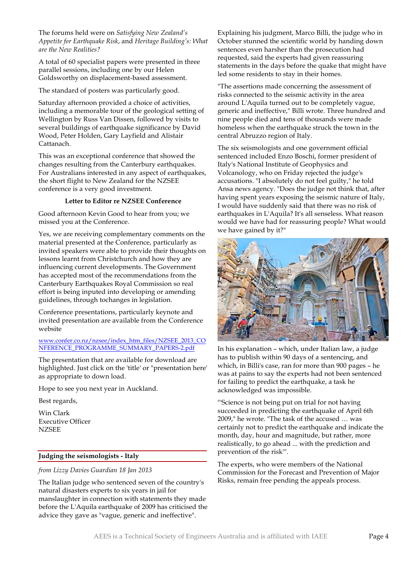The forums held were on *Satisfying New Zealand's Appetite for Earthquake Risk*, and *Heritage Building's: What are the New Realities?*

A total of 60 specialist papers were presented in three parallel sessions, including one by our Helen Goldsworthy on displacement-based assessment.

The standard of posters was particularly good.

Saturday afternoon provided a choice of activities, including a memorable tour of the geological setting of Wellington by Russ Van Dissen, followed by visits to several buildings of earthquake significance by David Wood, Peter Holden, Gary Layfield and Alistair Cattanach.

This was an exceptional conference that showed the changes resulting from the Canterbury earthquakes. For Australians interested in any aspect of earthquakes, the short flight to New Zealand for the NZSEE conference is a very good investment.

#### **Letter to Editor re NZSEE Conference**

Good afternoon Kevin Good to hear from you; we missed you at the Conference.

Yes, we are receiving complementary comments on the material presented at the Conference, particularly as invited speakers were able to provide their thoughts on lessons learnt from Christchurch and how they are influencing current developments. The Government has accepted most of the recommendations from the Canterbury Earthquakes Royal Commission so real effort is being inputed into developing or amending guidelines, through tochanges in legislation.

Conference presentations, particularly keynote and invited presentation are available from the Conference website

www.confer.co.nz/nzsee/index\_htm\_files/NZSEE\_2013\_CO NFERENCE\_PROGRAMME\_SUMMARY\_PAPERS-2.pdf

The presentation that are available for download are highlighted. Just click on the 'title' or "presentation here' as appropriate to down load.

Hope to see you next year in Auckland.

Best regards,

Win Clark Executive Officer **NZSEE** 

#### **Judging the seismologists - Italy**

*from Lizzy Davies Guardian 18 Jan 2013*

The Italian judge who sentenced seven of the country's natural disasters experts to six years in jail for manslaughter in connection with statements they made before the L'Aquila earthquake of 2009 has criticised the advice they gave as "vague, generic and ineffective".

Explaining his judgment, Marco Billi, the judge who in October stunned the scientific world by handing down sentences even harsher than the prosecution had requested, said the experts had given reassuring statements in the days before the quake that might have led some residents to stay in their homes.

"The assertions made concerning the assessment of risks connected to the seismic activity in the area around L'Aquila turned out to be completely vague, generic and ineffective," Billi wrote. Three hundred and nine people died and tens of thousands were made homeless when the earthquake struck the town in the central Abruzzo region of Italy.

The six seismologists and one government official sentenced included Enzo Boschi, former president of Italy's National Institute of Geophysics and Volcanology, who on Friday rejected the judge's accusations. "I absolutely do not feel guilty," he told Ansa news agency. "Does the judge not think that, after having spent years exposing the seismic nature of Italy, I would have suddenly said that there was no risk of earthquakes in L'Aquila? It's all senseless. What reason would we have had for reassuring people? What would we have gained by it?"



In his explanation – which, under Italian law, a judge has to publish within 90 days of a sentencing, and which, in Billi's case, ran for more than 900 pages – he was at pains to say the experts had not been sentenced for failing to predict the earthquake, a task he acknowledged was impossible.

"'Science is not being put on trial for not having succeeded in predicting the earthquake of April 6th 2009," he wrote. "The task of the accused … was certainly not to predict the earthquake and indicate the month, day, hour and magnitude, but rather, more realistically, to go ahead ... with the prediction and prevention of the risk'".

The experts, who were members of the National Commission for the Forecast and Prevention of Major Risks, remain free pending the appeals process.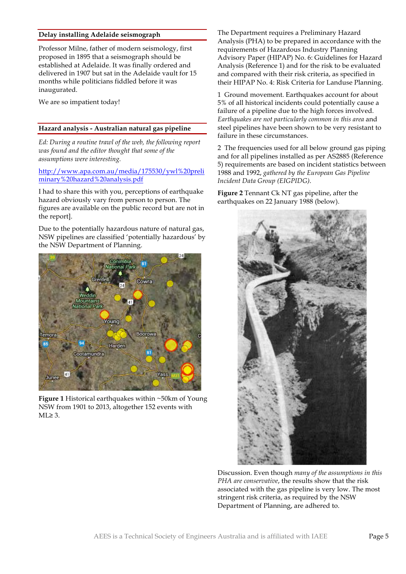#### **Delay installing Adelaide seismograph**

Professor Milne, father of modern seismology, first proposed in 1895 that a seismograph should be established at Adelaide. It was finally ordered and delivered in 1907 but sat in the Adelaide vault for 15 months while politicians fiddled before it was inaugurated.

We are so impatient today!

#### **Hazard analysis - Australian natural gas pipeline**

*Ed: During a routine trawl of the web, the following report was found and the editor thought that some of the assumptions were interesting.*

http://www.apa.com.au/media/175530/ywl%20preli minary%20hazard%20analysis.pdf

I had to share this with you, perceptions of earthquake hazard obviously vary from person to person. The figures are available on the public record but are not in the report].

Due to the potentially hazardous nature of natural gas, NSW pipelines are classified 'potentially hazardous' by the NSW Department of Planning.



**Figure 1** Historical earthquakes within ~50km of Young NSW from 1901 to 2013, altogether 152 events with  $MI \geq 3$ .

The Department requires a Preliminary Hazard Analysis (PHA) to be prepared in accordance with the requirements of Hazardous Industry Planning Advisory Paper (HIPAP) No. 6: Guidelines for Hazard Analysis (Reference 1) and for the risk to be evaluated and compared with their risk criteria, as specified in their HIPAP No. 4: Risk Criteria for Landuse Planning.

1 Ground movement. Earthquakes account for about 5% of all historical incidents could potentially cause a failure of a pipeline due to the high forces involved. *Earthquakes are not particularly common in this area* and steel pipelines have been shown to be very resistant to failure in these circumstances.

2 The frequencies used for all below ground gas piping and for all pipelines installed as per AS2885 (Reference 5) requirements are based on incident statistics between 1988 and 1992, *gathered by the European Gas Pipeline Incident Data Group (EIGPIDG)*.

**Figure 2** Tennant Ck NT gas pipeline, after the earthquakes on 22 January 1988 (below).



Discussion. Even though *many of the assumptions in this PHA are conservative*, the results show that the risk associated with the gas pipeline is very low. The most stringent risk criteria, as required by the NSW Department of Planning, are adhered to.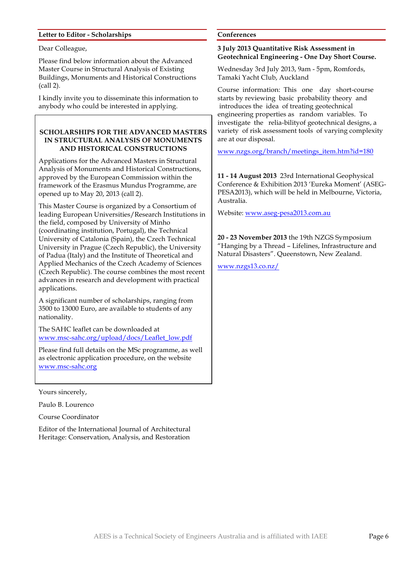#### **Letter to Editor - Scholarships**

Dear Colleague,

Please find below information about the Advanced Master Course in Structural Analysis of Existing Buildings, Monuments and Historical Constructions (call 2).

I kindly invite you to disseminate this information to anybody who could be interested in applying.

#### **SCHOLARSHIPS FOR THE ADVANCED MASTERS IN STRUCTURAL ANALYSIS OF MONUMENTS AND HISTORICAL CONSTRUCTIONS**

Applications for the Advanced Masters in Structural Analysis of Monuments and Historical Constructions, approved by the European Commission within the framework of the Erasmus Mundus Programme, are opened up to May 20, 2013 (call 2).

This Master Course is organized by a Consortium of leading European Universities/Research Institutions in the field, composed by University of Minho (coordinating institution, Portugal), the Technical University of Catalonia (Spain), the Czech Technical University in Prague (Czech Republic), the University of Padua (Italy) and the Institute of Theoretical and Applied Mechanics of the Czech Academy of Sciences (Czech Republic). The course combines the most recent advances in research and development with practical applications.

A significant number of scholarships, ranging from 3500 to 13000 Euro, are available to students of any nationality.

The SAHC leaflet can be downloaded at www.msc-sahc.org/upload/docs/Leaflet\_low.pdf

Please find full details on the MSc programme, as well as electronic application procedure, on the website www.msc-sahc.org

Yours sincerely,

Paulo B. Lourenco

Course Coordinator

Editor of the International Journal of Architectural Heritage: Conservation, Analysis, and Restoration

#### **Conferences**

**3 July 2013 Quantitative Risk Assessment in Geotechnical Engineering - One Day Short Course.**

Wednesday 3rd July 2013, 9am - 5pm, Romfords, Tamaki Yacht Club, Auckland

Course information: This one day short-course starts by reviewing basic probability theory and introduces the idea of treating geotechnical engineering properties as random variables. To investigate the relia-bilityof geotechnical designs, a variety of risk assessment tools of varying complexity are at our disposal.

www.nzgs.org/branch/meetings\_item.htm?id=180

**11 - 14 August 2013** 23rd International Geophysical Conference & Exhibition 2013 'Eureka Moment' (ASEG-PESA2013), which will be held in Melbourne, Victoria, Australia.

Website: www.aseg-pesa2013.com.au

**20 - 23 November 2013** the 19th NZGS Symposium "Hanging by a Thread – Lifelines, Infrastructure and Natural Disasters". Queenstown, New Zealand.

www.nzgs13.co.nz/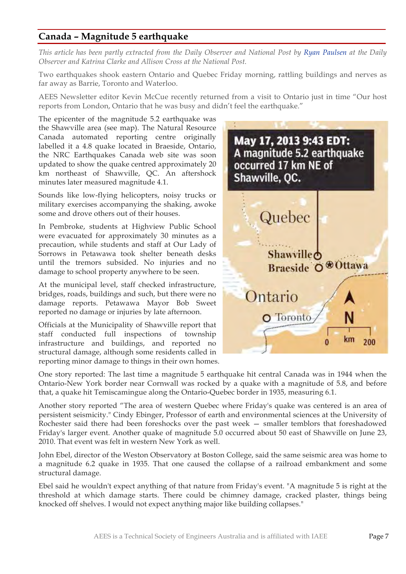## **Canada – Magnitude 5 earthquake**

*This article has been partly extracted from the Daily Observer and National Post by Ryan Paulsen at the Daily Observer and Katrina Clarke and Allison Cross at the National Post.*

Two earthquakes shook eastern Ontario and Quebec Friday morning, rattling buildings and nerves as far away as Barrie, Toronto and Waterloo.

AEES Newsletter editor Kevin McCue recently returned from a visit to Ontario just in time "Our host reports from London, Ontario that he was busy and didn't feel the earthquake."

The epicenter of the magnitude 5.2 earthquake was the Shawville area (see map). The Natural Resource Canada automated reporting centre originally labelled it a 4.8 quake located in Braeside, Ontario, the NRC Earthquakes Canada web site was soon updated to show the quake centred approximately 20 km northeast of Shawville, QC. An aftershock minutes later measured magnitude 4.1.

Sounds like low-flying helicopters, noisy trucks or military exercises accompanying the shaking, awoke some and drove others out of their houses.

In Pembroke, students at Highview Public School were evacuated for approximately 30 minutes as a precaution, while students and staff at Our Lady of Sorrows in Petawawa took shelter beneath desks until the tremors subsided. No injuries and no damage to school property anywhere to be seen.

At the municipal level, staff checked infrastructure, bridges, roads, buildings and such, but there were no damage reports. Petawawa Mayor Bob Sweet reported no damage or injuries by late afternoon.

Officials at the Municipality of Shawville report that staff conducted full inspections of township infrastructure and buildings, and reported no structural damage, although some residents called in reporting minor damage to things in their own homes.



One story reported: The last time a magnitude 5 earthquake hit central Canada was in 1944 when the Ontario-New York border near Cornwall was rocked by a quake with a magnitude of 5.8, and before that, a quake hit Temiscamingue along the Ontario-Quebec border in 1935, measuring 6.1.

Another story reported "The area of western Quebec where Friday's quake was centered is an area of persistent seismicity." Cindy Ebinger, Professor of earth and environmental sciences at the University of Rochester said there had been foreshocks over the past week — smaller temblors that foreshadowed Friday's larger event. Another quake of magnitude 5.0 occurred about 50 east of Shawville on June 23, 2010. That event was felt in western New York as well.

John Ebel, director of the Weston Observatory at Boston College, said the same seismic area was home to a magnitude 6.2 quake in 1935. That one caused the collapse of a railroad embankment and some structural damage.

Ebel said he wouldn't expect anything of that nature from Friday's event. "A magnitude 5 is right at the threshold at which damage starts. There could be chimney damage, cracked plaster, things being knocked off shelves. I would not expect anything major like building collapses."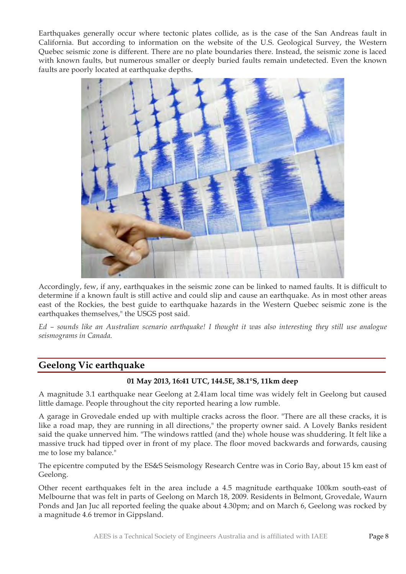Earthquakes generally occur where tectonic plates collide, as is the case of the San Andreas fault in California. But according to information on the website of the U.S. Geological Survey, the Western Quebec seismic zone is different. There are no plate boundaries there. Instead, the seismic zone is laced with known faults, but numerous smaller or deeply buried faults remain undetected. Even the known faults are poorly located at earthquake depths.



Accordingly, few, if any, earthquakes in the seismic zone can be linked to named faults. It is difficult to determine if a known fault is still active and could slip and cause an earthquake. As in most other areas east of the Rockies, the best guide to earthquake hazards in the Western Quebec seismic zone is the earthquakes themselves," the USGS post said.

*Ed – sounds like an Australian scenario earthquake! I thought it was also interesting they still use analogue seismograms in Canada.*

## **Geelong Vic earthquake**

### **01 May 2013, 16:41 UTC, 144.5E, 38.1°S, 11km deep**

A magnitude 3.1 earthquake near Geelong at 2.41am local time was widely felt in Geelong but caused little damage. People throughout the city reported hearing a low rumble.

A garage in Grovedale ended up with multiple cracks across the floor. "There are all these cracks, it is like a road map, they are running in all directions," the property owner said. A Lovely Banks resident said the quake unnerved him. "The windows rattled (and the) whole house was shuddering. It felt like a massive truck had tipped over in front of my place. The floor moved backwards and forwards, causing me to lose my balance."

The epicentre computed by the ES&S Seismology Research Centre was in Corio Bay, about 15 km east of Geelong.

Other recent earthquakes felt in the area include a 4.5 magnitude earthquake 100km south-east of Melbourne that was felt in parts of Geelong on March 18, 2009. Residents in Belmont, Grovedale, Waurn Ponds and Jan Juc all reported feeling the quake about 4.30pm; and on March 6, Geelong was rocked by a magnitude 4.6 tremor in Gippsland.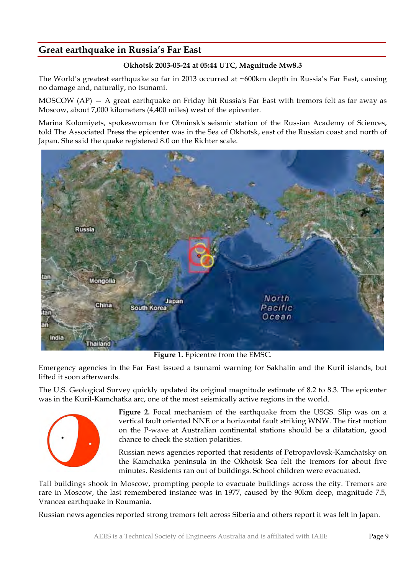## **Great earthquake in Russia's Far East**

#### **Okhotsk 2003-05-24 at 05:44 UTC, Magnitude Mw8.3**

The World's greatest earthquake so far in 2013 occurred at ~600km depth in Russia's Far East, causing no damage and, naturally, no tsunami.

MOSCOW (AP) — A great earthquake on Friday hit Russia's Far East with tremors felt as far away as Moscow, about 7,000 kilometers (4,400 miles) west of the epicenter.

Marina Kolomiyets, spokeswoman for Obninsk's seismic station of the Russian Academy of Sciences, told The Associated Press the epicenter was in the Sea of Okhotsk, east of the Russian coast and north of Japan. She said the quake registered 8.0 on the Richter scale.



**Figure 1.** Epicentre from the EMSC.

Emergency agencies in the Far East issued a tsunami warning for Sakhalin and the Kuril islands, but lifted it soon afterwards.

The U.S. Geological Survey quickly updated its original magnitude estimate of 8.2 to 8.3. The epicenter was in the Kuril-Kamchatka arc, one of the most seismically active regions in the world.



**Figure 2.** Focal mechanism of the earthquake from the USGS. Slip was on a vertical fault oriented NNE or a horizontal fault striking WNW. The first motion on the P-wave at Australian continental stations should be a dilatation, good chance to check the station polarities.

Russian news agencies reported that residents of Petropavlovsk-Kamchatsky on the Kamchatka peninsula in the Okhotsk Sea felt the tremors for about five minutes. Residents ran out of buildings. School children were evacuated.

Tall buildings shook in Moscow, prompting people to evacuate buildings across the city. Tremors are rare in Moscow, the last remembered instance was in 1977, caused by the 90km deep, magnitude 7.5, Vrancea earthquake in Roumania.

Russian news agencies reported strong tremors felt across Siberia and others report it was felt in Japan.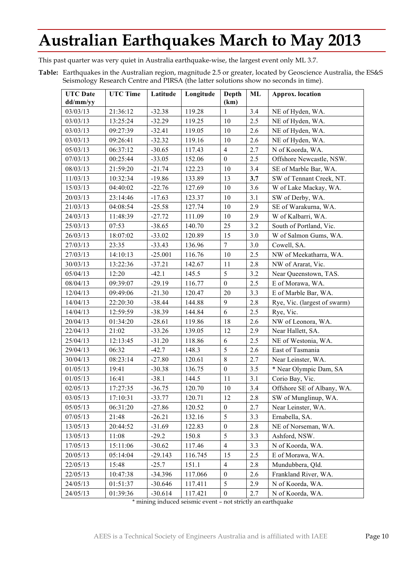## **Australian Earthquakes March to May 2013**

This past quarter was very quiet in Australia earthquake-wise, the largest event only ML 3.7.

**Table:** Earthquakes in the Australian region, magnitude 2.5 or greater, located by Geoscience Australia, the ES&S Seismology Research Centre and PIRSA (the latter solutions show no seconds in time).

| <b>UTC</b> Date<br>dd/mm/yy | <b>UTC Time</b> | Latitude  | Longitude | <b>Depth</b><br>(km) | <b>ML</b> | <b>Approx.</b> location      |
|-----------------------------|-----------------|-----------|-----------|----------------------|-----------|------------------------------|
| 03/03/13                    | 21:36:12        | $-32.38$  | 119.28    |                      | 3.4       | NE of Hyden, WA.             |
| 03/03/13                    | 13:25:24        | $-32.29$  | 119.25    | 10                   | 2.5       | NE of Hyden, WA.             |
| 03/03/13                    | 09:27:39        | $-32.41$  | 119.05    | 10                   | 2.6       | NE of Hyden, WA.             |
| 03/03/13                    | 09:26:41        | $-32.32$  | 119.16    | 10                   | 2.6       | NE of Hyden, WA.             |
| 05/03/13                    | 06:37:12        | $-30.65$  | 117.43    | 4                    | 2.7       | N of Koorda, WA.             |
| 07/03/13                    | 00:25:44        | $-33.05$  | 152.06    | $\theta$             | 2.5       | Offshore Newcastle, NSW.     |
| 08/03/13                    | 21:59:20        | $-21.74$  | 122.23    | 10                   | 3.4       | SE of Marble Bar, WA.        |
| 11/03/13                    | 10:32:34        | $-19.86$  | 133.89    | 13                   | 3.7       | SW of Tennant Creek, NT.     |
| 15/03/13                    | 04:40:02        | $-22.76$  | 127.69    | 10                   | 3.6       | W of Lake Mackay, WA.        |
| 20/03/13                    | 23:14:46        | $-17.63$  | 123.37    | 10                   | 3.1       | SW of Derby, WA.             |
| 21/03/13                    | 04:08:54        | $-25.58$  | 127.74    | 10                   | 2.9       | SE of Warakurna, WA.         |
| 24/03/13                    | 11:48:39        | $-27.72$  | 111.09    | 10                   | 2.9       | W of Kalbarri, WA.           |
| 25/03/13                    | 07:53           | $-38.65$  | 140.70    | 25                   | 3.2       | South of Portland, Vic.      |
| 26/03/13                    | 18:07:02        | $-33.02$  | 120.89    | 15                   | 3.0       | W of Salmon Gums, WA.        |
| 27/03/13                    | 23:35           | $-33.43$  | 136.96    | $\overline{7}$       | 3.0       | Cowell, SA.                  |
| 27/03/13                    | 14:10:13        | $-25.001$ | 116.76    | 10                   | 2.5       | NW of Meekatharra, WA.       |
| 30/03/13                    | 13:22:36        | $-37.21$  | 142.67    | 11                   | 2.8       | NW of Ararat, Vic.           |
| 05/04/13                    | 12:20           | $-42.1$   | 145.5     | 5                    | 3.2       | Near Queenstown, TAS.        |
| 08/04/13                    | 09:39:07        | $-29.19$  | 116.77    | $\boldsymbol{0}$     | 2.5       | E of Morawa, WA.             |
| 12/04/13                    | 09:49:06        | $-21.30$  | 120.47    | 20                   | 3.3       | E of Marble Bar, WA.         |
| 14/04/13                    | 22:20:30        | $-38.44$  | 144.88    | 9                    | 2.8       | Rye, Vic. (largest of swarm) |
| 14/04/13                    | 12:59:59        | $-38.39$  | 144.84    | 6                    | 2.5       | Rye, Vic.                    |
| 20/04/13                    | 01:34:20        | $-28.61$  | 119.86    | 18                   | 2.6       | NW of Leonora, WA.           |
| 22/04/13                    | 21:02           | $-33.26$  | 139.05    | 12                   | 2.9       | Near Hallett, SA.            |
| 25/04/13                    | 12:13:45        | $-31.20$  | 118.86    | 6                    | 2.5       | NE of Westonia, WA.          |
| 29/04/13                    | 06:32           | $-42.7$   | 148.3     | $\sqrt{5}$           | 2.6       | East of Tasmania             |
| 30/04/13                    | 08:23:14        | $-27.80$  | 120.61    | 8                    | 2.7       | Near Leinster, WA.           |
| 01/05/13                    | 19:41           | $-30.38$  | 136.75    | $\boldsymbol{0}$     | $3.5$     | * Near Olympic Dam, SA       |
| 01/05/13                    | 16:41           | $-38.1$   | 144.5     | 11                   | 3.1       | Corio Bay, Vic.              |
| 02/05/13                    | 17:27:35        | $-36.75$  | 120.70    | $10\,$               | 3.4       | Offshore SE of Albany, WA.   |
| 03/05/13                    | 17:10:31        | $-33.77$  | 120.71    | 12                   | 2.8       | SW of Munglinup, WA.         |
| 05/05/13                    | 06:31:20        | $-27.86$  | 120.52    | $\mathbf{0}$         | 2.7       | Near Leinster, WA.           |
| 07/05/13                    | 21:48           | $-26.21$  | 132.16    | 5                    | 3.3       | Ernabella, SA.               |
| 13/05/13                    | 20:44:52        | $-31.69$  | 122.83    | $\boldsymbol{0}$     | 2.8       | NE of Norseman, WA.          |
| 13/05/13                    | 11:08           | $-29.2$   | 150.8     | 5                    | 3.3       | Ashford, NSW.                |
| 17/05/13                    | 15:11:06        | $-30.62$  | 117.46    | $\overline{4}$       | 3.3       | N of Koorda, WA.             |
| 20/05/13                    | 05:14:04        | $-29.143$ | 116.745   | 15                   | 2.5       | E of Morawa, WA.             |
| 22/05/13                    | 15:48           | $-25.7$   | 151.1     | 4                    | 2.8       | Mundubbera, Qld.             |
| 22/05/13                    | 10:47:38        | $-34.396$ | 117.066   | $\mathbf{0}$         | 2.6       | Frankland River, WA.         |
| 24/05/13                    | 01:51:37        | $-30.646$ | 117.411   | 5                    | 2.9       | N of Koorda, WA.             |
| 24/05/13                    | 01:39:36        | $-30.614$ | 117.421   | $\boldsymbol{0}$     | 2.7       | N of Koorda, WA.             |

\* mining induced seismic event – not strictly an earthquake